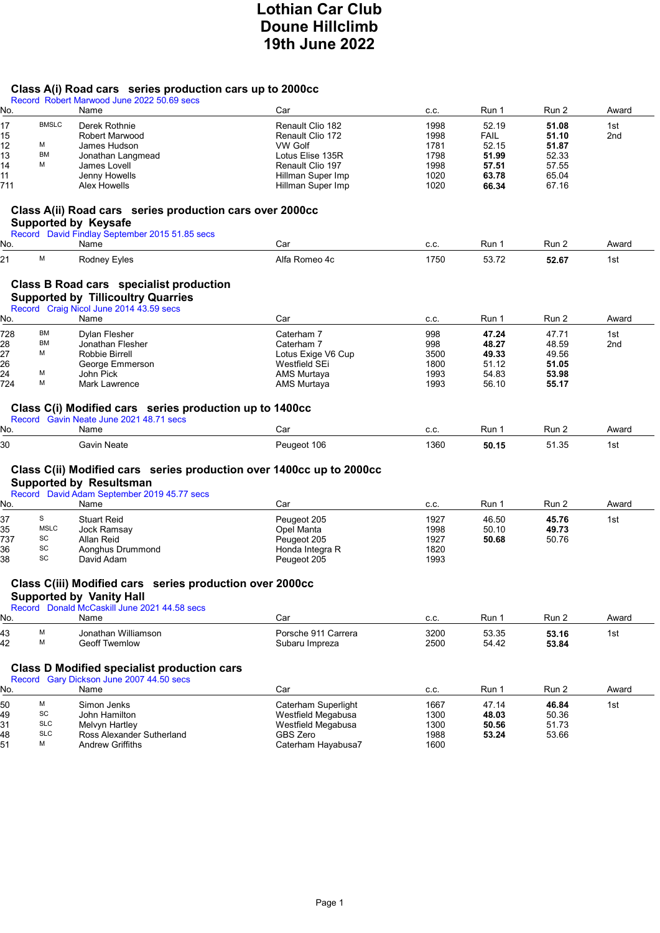# Lothian Car Club Doune Hillclimb 19th June 2022

## Class A(i) Road cars series production cars up to 2000cc

|           |              | Record Robert Marwood June 2022 50.69 secs                                                                                                            |                                          |              |                |                |              |
|-----------|--------------|-------------------------------------------------------------------------------------------------------------------------------------------------------|------------------------------------------|--------------|----------------|----------------|--------------|
| No.       |              | Name                                                                                                                                                  | Car                                      | C.C.         | Run 1          | Run 2          | Award        |
| 17        | <b>BMSLC</b> | Derek Rothnie                                                                                                                                         | Renault Clio 182                         | 1998         | 52.19          | 51.08          | 1st          |
| 15        |              | Robert Marwood                                                                                                                                        | Renault Clio 172                         | 1998         | <b>FAIL</b>    | 51.10          | 2nd          |
| 12        | м            | James Hudson                                                                                                                                          | VW Golf                                  | 1781         | 52.15          | 51.87          |              |
| 13        | BM           | Jonathan Langmead                                                                                                                                     | Lotus Elise 135R                         | 1798         | 51.99          | 52.33          |              |
| 14        | М            | James Lovell                                                                                                                                          | Renault Clio 197                         | 1998         | 57.51          | 57.55          |              |
| 11        |              | Jenny Howells                                                                                                                                         | Hillman Super Imp                        | 1020         | 63.78          | 65.04          |              |
| 711       |              | Alex Howells                                                                                                                                          | Hillman Super Imp                        | 1020         | 66.34          | 67.16          |              |
|           |              | Class A(ii) Road cars series production cars over 2000cc<br><b>Supported by Keysafe</b><br>Record David Findlay September 2015 51.85 secs             |                                          |              |                |                |              |
| No.       |              | Name                                                                                                                                                  | Car                                      | C.C.         | Run 1          | Run 2          | Award        |
| 21        | M            | Rodney Eyles                                                                                                                                          | Alfa Romeo 4c                            | 1750         | 53.72          | 52.67          | 1st          |
|           |              | Class B Road cars specialist production<br><b>Supported by Tillicoultry Quarries</b><br>Record Craig Nicol June 2014 43.59 secs                       |                                          |              |                |                |              |
| No.       |              | Name                                                                                                                                                  | Car                                      | C.C.         | Run 1          | Run 2          | Award        |
| 728       | ВM           | Dylan Flesher                                                                                                                                         | Caterham 7                               | 998          | 47.24          | 47.71          | 1st          |
| 28        | <b>BM</b>    | Jonathan Flesher                                                                                                                                      | Caterham 7                               | 998          | 48.27          | 48.59          | 2nd          |
| 27        | М            | Robbie Birrell                                                                                                                                        | Lotus Exige V6 Cup                       | 3500         | 49.33          | 49.56          |              |
| 26        |              | George Emmerson                                                                                                                                       | Westfield SEi                            | 1800         | 51.12          | 51.05          |              |
| 24        | М            | John Pick                                                                                                                                             | AMS Murtaya                              | 1993         | 54.83          | 53.98          |              |
| 724       | М            | Mark Lawrence                                                                                                                                         | AMS Murtaya                              | 1993         | 56.10          | 55.17          |              |
| No.<br>30 |              | Gavin Neate                                                                                                                                           | Car<br>Peugeot 106                       | C.C.<br>1360 | Run 1<br>50.15 | Run 2<br>51.35 | Award<br>1st |
|           |              | Class C(ii) Modified cars series production over 1400cc up to 2000cc<br><b>Supported by Resultsman</b><br>Record David Adam September 2019 45.77 secs |                                          |              |                |                |              |
| No.       |              | Name                                                                                                                                                  | Car                                      | C.C.         | Run 1          | Run 2          | Award        |
| 37        | S            | <b>Stuart Reid</b>                                                                                                                                    | Peugeot 205                              | 1927         | 46.50          | 45.76          | 1st          |
| 35        | <b>MSLC</b>  | Jock Ramsay                                                                                                                                           | Opel Manta                               | 1998         | 50.10          | 49.73          |              |
| 737       | SC           | Allan Reid                                                                                                                                            | Peugeot 205                              | 1927         | 50.68          | 50.76          |              |
| 36        | SC           | Aonghus Drummond                                                                                                                                      | Honda Integra R                          | 1820         |                |                |              |
| 38        | SC           | David Adam                                                                                                                                            | Peugeot 205                              | 1993         |                |                |              |
|           |              | Class C(iii) Modified cars series production over 2000cc                                                                                              |                                          |              |                |                |              |
|           |              | <b>Supported by Vanity Hall</b>                                                                                                                       |                                          |              |                |                |              |
|           |              | Record Donald McCaskill June 2021 44.58 secs                                                                                                          |                                          |              |                |                |              |
| No.       |              | Name                                                                                                                                                  | Car                                      | C.C.         | Run 1          | Run 2          | Award        |
|           | М            | Jonathan Williamson                                                                                                                                   | Porsche 911 Carrera                      | 3200         |                | 53.16          |              |
| 43<br>42  | M            | <b>Geoff Twemlow</b>                                                                                                                                  |                                          | 2500         | 53.35<br>54.42 | 53.84          | 1st          |
|           |              |                                                                                                                                                       | Subaru Impreza                           |              |                |                |              |
|           |              | <b>Class D Modified specialist production cars</b>                                                                                                    |                                          |              |                |                |              |
|           |              | Record Gary Dickson June 2007 44.50 secs                                                                                                              |                                          |              |                |                |              |
| No.       |              | Name                                                                                                                                                  | Car                                      | C.C.         | Run 1          | Run 2          | Award        |
| 50        | M            | Simon Jenks                                                                                                                                           | Caterham Superlight                      | 1667         | 47.14          |                | 1st          |
|           | SC           | John Hamilton                                                                                                                                         |                                          |              |                | 46.84          |              |
| 49<br>31  | <b>SLC</b>   | Melvyn Hartley                                                                                                                                        | Westfield Megabusa<br>Westfield Megabusa | 1300<br>1300 | 48.03<br>50.56 | 50.36<br>51.73 |              |
| 48        | <b>SLC</b>   | Ross Alexander Sutherland                                                                                                                             | GBS Zero                                 | 1988         | 53.24          | 53.66          |              |
| 51        | М            | <b>Andrew Griffiths</b>                                                                                                                               | Caterham Hayabusa7                       | 1600         |                |                |              |
|           |              |                                                                                                                                                       |                                          |              |                |                |              |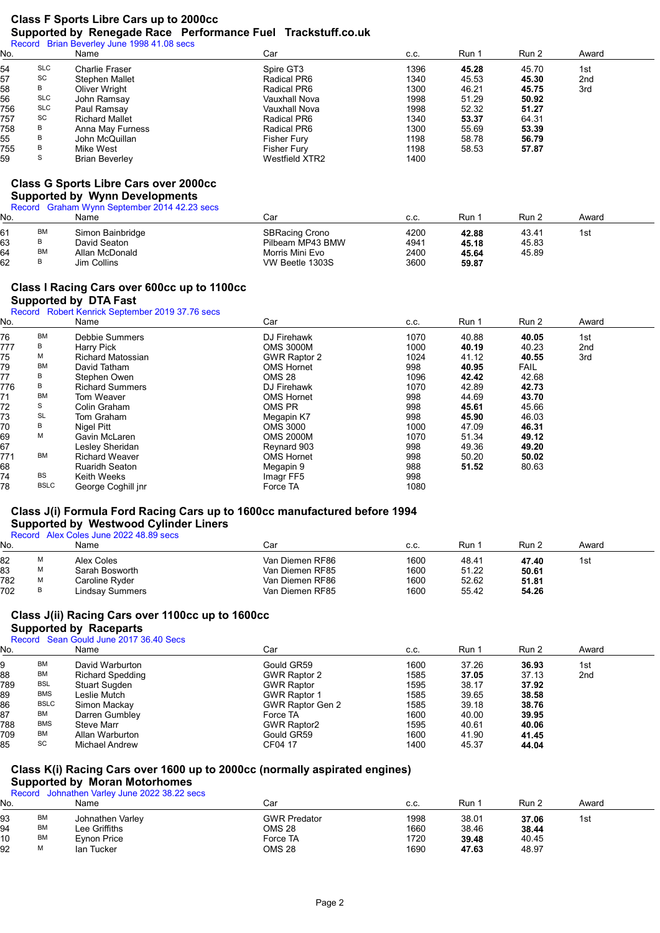### Class F Sports Libre Cars up to 2000cc Supported by Renegade Race Performance Fuel Trackstuff.co.uk

| No. |            | Name                                                                                                                                          | Car                | C.C. | Run 1 | Run 2 | Award           |
|-----|------------|-----------------------------------------------------------------------------------------------------------------------------------------------|--------------------|------|-------|-------|-----------------|
| 54  | <b>SLC</b> | Charlie Fraser                                                                                                                                | Spire GT3          | 1396 | 45.28 | 45.70 | 1st             |
| 57  | SC         | <b>Stephen Mallet</b>                                                                                                                         | Radical PR6        | 1340 | 45.53 | 45.30 | 2 <sub>nd</sub> |
| 58  | В          | Oliver Wright                                                                                                                                 | Radical PR6        | 1300 | 46.21 | 45.75 | 3rd             |
| 56  | <b>SLC</b> | John Ramsay                                                                                                                                   | Vauxhall Nova      | 1998 | 51.29 | 50.92 |                 |
| 756 | <b>SLC</b> | Paul Ramsay                                                                                                                                   | Vauxhall Nova      | 1998 | 52.32 | 51.27 |                 |
| 757 | SC         | <b>Richard Mallet</b>                                                                                                                         | Radical PR6        | 1340 | 53.37 | 64.31 |                 |
| 758 | В          | Anna May Furness                                                                                                                              | Radical PR6        | 1300 | 55.69 | 53.39 |                 |
| 55  | В          | John McQuillan                                                                                                                                | <b>Fisher Fury</b> | 1198 | 58.78 | 56.79 |                 |
| 755 | В          | Mike West                                                                                                                                     | <b>Fisher Fury</b> | 1198 | 58.53 | 57.87 |                 |
| 59  | S          | <b>Brian Beverley</b>                                                                                                                         | Westfield XTR2     | 1400 |       |       |                 |
|     |            | <b>Class G Sports Libre Cars over 2000cc</b><br><b>Supported by Wynn Developments</b><br>Record Graham Wynn September 2014 42.23 secs<br>Name | Car                | C.C. | Run 1 | Run 2 | Award           |

| 11 N V . |           | 1961116          | vai                   | v.v. |       | $1$ vui $\epsilon$ | Awaly |  |
|----------|-----------|------------------|-----------------------|------|-------|--------------------|-------|--|
|          | BM        | Simon Bainbridge | <b>SBRacing Crono</b> | 4200 | 42.88 | 43.41              | 1st   |  |
| 63       | B         | David Seaton     | Pilbeam MP43 BMW      | 4941 | 45.18 | 45.83              |       |  |
| 64       | <b>BM</b> | Allan McDonald   | Morris Mini Evo       | 2400 | 45.64 | 45.89              |       |  |
| 62       |           | Jim Collins      | VW Beetle 1303S       | 3600 | 59.87 |                    |       |  |
|          |           |                  |                       |      |       |                    |       |  |

### Class I Racing Cars over 600cc up to 1100cc Supported by DTA Fast

#### Record Robert Kenrick September 2019 37.76 secs

| No. |             | Name                     | Car                 | C.C. | Run 1 | Run 2       | Award |
|-----|-------------|--------------------------|---------------------|------|-------|-------------|-------|
| 76  | <b>BM</b>   | <b>Debbie Summers</b>    | DJ Firehawk         | 1070 | 40.88 | 40.05       | 1st   |
| 777 | В           | Harry Pick               | <b>OMS 3000M</b>    | 1000 | 40.19 | 40.23       | 2nd   |
| 75  | М           | <b>Richard Matossian</b> | <b>GWR Raptor 2</b> | 1024 | 41.12 | 40.55       | 3rd   |
| 79  | <b>BM</b>   | David Tatham             | <b>OMS Hornet</b>   | 998  | 40.95 | <b>FAIL</b> |       |
| 77  | В           | Stephen Owen             | <b>OMS 28</b>       | 1096 | 42.42 | 42.68       |       |
| 776 | В           | <b>Richard Summers</b>   | DJ Firehawk         | 1070 | 42.89 | 42.73       |       |
| 71  | <b>BM</b>   | Tom Weaver               | <b>OMS Hornet</b>   | 998  | 44.69 | 43.70       |       |
| 72  | S           | Colin Graham             | OMS PR              | 998  | 45.61 | 45.66       |       |
| 73  | <b>SL</b>   | Tom Graham               | Megapin K7          | 998  | 45.90 | 46.03       |       |
| 70  | B           | Nigel Pitt               | <b>OMS 3000</b>     | 1000 | 47.09 | 46.31       |       |
| 69  | M           | Gavin McLaren            | <b>OMS 2000M</b>    | 1070 | 51.34 | 49.12       |       |
| 67  |             | Lesley Sheridan          | Reynard 903         | 998  | 49.36 | 49.20       |       |
| 771 | <b>BM</b>   | <b>Richard Weaver</b>    | <b>OMS Hornet</b>   | 998  | 50.20 | 50.02       |       |
| 68  |             | <b>Ruaridh Seaton</b>    | Megapin 9           | 988  | 51.52 | 80.63       |       |
| 74  | BS          | Keith Weeks              | Imagr FF5           | 998  |       |             |       |
| 78  | <b>BSLC</b> | George Coghill jnr       | Force TA            | 1080 |       |             |       |

### Class J(i) Formula Ford Racing Cars up to 1600cc manufactured before 1994 Supported by Westwood Cylinder Liners

#### Record Alex Coles June 2022 48.89 secs

| No. |   | Name            | Car             | C.C. | Run   | Run 2 | Award |  |
|-----|---|-----------------|-----------------|------|-------|-------|-------|--|
| 82  | М | Alex Coles      | Van Diemen RF86 | 1600 | 48.41 | 47.40 | 1st   |  |
| 83  | M | Sarah Bosworth  | Van Diemen RF85 | 1600 | 51.22 | 50.61 |       |  |
| 782 | M | Caroline Ryder  | Van Diemen RF86 | 1600 | 52.62 | 51.81 |       |  |
| 702 | B | Lindsav Summers | Van Diemen RF85 | 1600 | 55.42 | 54.26 |       |  |

#### Class J(ii) Racing Cars over 1100cc up to 1600cc

## Supported by Raceparts

### Record Sean Gould June 2017 36.40 Secs

| No. |             | Name                    | Car                 | C.C. | Run 1 | Run 2 | Award           |
|-----|-------------|-------------------------|---------------------|------|-------|-------|-----------------|
|     | <b>BM</b>   | David Warburton         | Gould GR59          | 1600 | 37.26 | 36.93 | 1st             |
| 88  | BM          | <b>Richard Spedding</b> | GWR Raptor 2        | 1585 | 37.05 | 37.13 | 2 <sub>nd</sub> |
| 789 | <b>BSL</b>  | Stuart Sugden           | <b>GWR Raptor</b>   | 1595 | 38.17 | 37.92 |                 |
| 89  | <b>BMS</b>  | Leslie Mutch            | <b>GWR Raptor 1</b> | 1585 | 39.65 | 38.58 |                 |
| 86  | <b>BSLC</b> | Simon Mackay            | GWR Raptor Gen 2    | 1585 | 39.18 | 38.76 |                 |
| 87  | <b>BM</b>   | Darren Gumbley          | Force TA            | 1600 | 40.00 | 39.95 |                 |
| 788 | <b>BMS</b>  | <b>Steve Marr</b>       | <b>GWR Raptor2</b>  | 1595 | 40.61 | 40.06 |                 |
| 709 | <b>BM</b>   | Allan Warburton         | Gould GR59          | 1600 | 41.90 | 41.45 |                 |
| 85  | SC          | Michael Andrew          | CF04 17             | 1400 | 45.37 | 44.04 |                 |

## Class K(i) Racing Cars over 1600 up to 2000cc (normally aspirated engines)

# Supported by Moran Motorhomes

Record Johnathen Varley June 2022 38.22 secs

| No. |           | Name             | Car                 | C.C. | Run   | Run 2 | Award |  |
|-----|-----------|------------------|---------------------|------|-------|-------|-------|--|
| 93  | <b>BM</b> | Johnathen Varley | <b>GWR Predator</b> | 1998 | 38.01 | 37.06 | 1st   |  |
| 94  | <b>BM</b> | Lee Griffiths    | <b>OMS 28</b>       | 1660 | 38.46 | 38.44 |       |  |
| 10  | <b>BM</b> | Evnon Price      | Force TA            | 1720 | 39.48 | 40.45 |       |  |
| 92  | M         | lan Tucker       | <b>OMS 28</b>       | 1690 | 47.63 | 48.97 |       |  |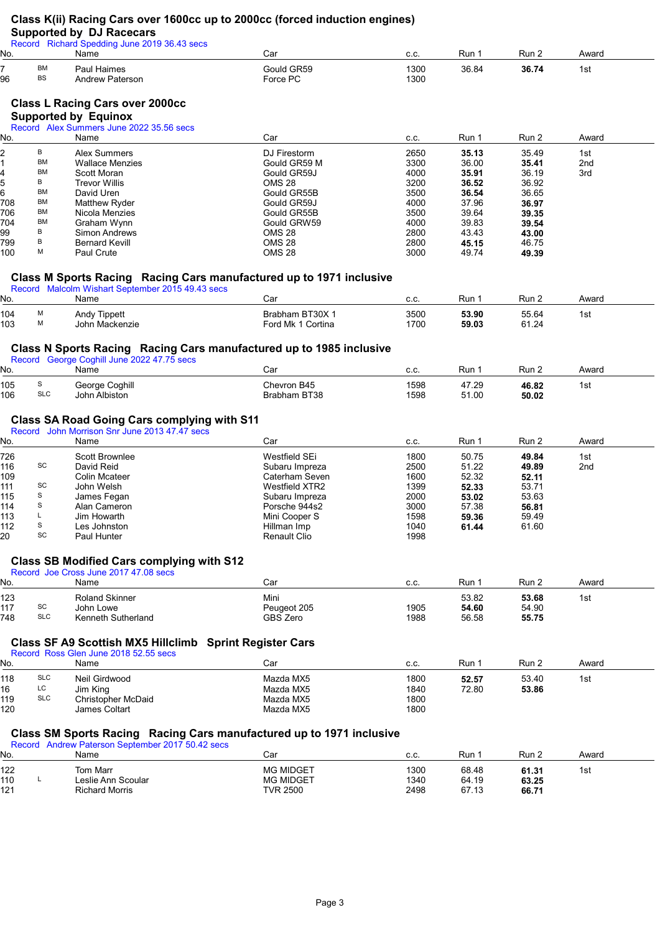# Class K(ii) Racing Cars over 1600cc up to 2000cc (forced induction engines)

## Supported by DJ Racecars

|            |                 | ---<br>Record Richard Spedding June 2019 36.43 secs                                                 |                                                                      |              |                |                |                |
|------------|-----------------|-----------------------------------------------------------------------------------------------------|----------------------------------------------------------------------|--------------|----------------|----------------|----------------|
| No.        |                 | Name                                                                                                | Car                                                                  | C.C.         | Run 1          | Run 2          | Award          |
| 96         | <b>BM</b><br>BS | Paul Haimes<br><b>Andrew Paterson</b>                                                               | Gould GR59<br>Force PC                                               | 1300<br>1300 | 36.84          | 36.74          | 1st            |
|            |                 | <b>Class L Racing Cars over 2000cc</b>                                                              |                                                                      |              |                |                |                |
|            |                 | <b>Supported by Equinox</b>                                                                         |                                                                      |              |                |                |                |
|            |                 | Record Alex Summers June 2022 35.56 secs                                                            |                                                                      |              |                |                |                |
| No.        |                 | Name                                                                                                | Car                                                                  | C.C.         | Run 1          | Run 2          | Award          |
|            | В               | <b>Alex Summers</b>                                                                                 | DJ Firestorm                                                         | 2650         | 35.13          | 35.49          | 1st            |
|            | BM              | <b>Wallace Menzies</b>                                                                              | Gould GR59 M                                                         | 3300         | 36.00          | 35.41          | 2nd            |
|            | ВM              | <b>Scott Moran</b>                                                                                  | Gould GR59J                                                          | 4000         | 35.91          | 36.19          | 3rd            |
|            | В               | <b>Trevor Willis</b>                                                                                | OMS 28                                                               | 3200         | 36.52          | 36.92          |                |
|            | ВM              | David Uren                                                                                          | Gould GR55B                                                          | 3500         | 36.54          | 36.65          |                |
| 708        | ВM<br>ВM        | Matthew Ryder                                                                                       | Gould GR59J                                                          | 4000         | 37.96          | 36.97          |                |
| 706<br>704 | ВM              | Nicola Menzies                                                                                      | Gould GR55B<br>Gould GRW59                                           | 3500<br>4000 | 39.64<br>39.83 | 39.35          |                |
|            | В               | Graham Wynn<br>Simon Andrews                                                                        | <b>OMS 28</b>                                                        | 2800         | 43.43          | 39.54<br>43.00 |                |
| 99<br>799  | В               | <b>Bernard Kevill</b>                                                                               | <b>OMS 28</b>                                                        | 2800         | 45.15          | 46.75          |                |
| 100        | М               | <b>Paul Crute</b>                                                                                   | <b>OMS 28</b>                                                        | 3000         | 49.74          | 49.39          |                |
|            |                 |                                                                                                     | Class M Sports Racing Racing Cars manufactured up to 1971 inclusive  |              |                |                |                |
| No.        |                 | Record Malcolm Wishart September 2015 49.43 secs<br>Name                                            | Car                                                                  |              | Run 1          | Run 2          | Award          |
|            |                 |                                                                                                     |                                                                      | C.C.         |                |                |                |
| 104<br>103 | М<br>М          | <b>Andy Tippett</b><br>John Mackenzie                                                               | Brabham BT30X 1<br>Ford Mk 1 Cortina                                 | 3500<br>1700 | 53.90<br>59.03 | 55.64<br>61.24 | 1st            |
|            |                 |                                                                                                     |                                                                      |              |                |                |                |
|            |                 | Record George Coghill June 2022 47.75 secs                                                          | Class N Sports Racing Racing Cars manufactured up to 1985 inclusive  |              |                |                |                |
| No.        |                 | Name                                                                                                | Car                                                                  | C.C.         | Run 1          | Run 2          | Award          |
| 105        | S               | George Coghill                                                                                      | Chevron B45                                                          | 1598         | 47.29          | 46.82          | 1st            |
| 106        | <b>SLC</b>      | John Albiston                                                                                       | Brabham BT38                                                         | 1598         | 51.00          | 50.02          |                |
|            |                 | <b>Class SA Road Going Cars complying with S11</b><br>Record John Morrison Snr June 2013 47.47 secs |                                                                      |              |                |                |                |
| No.        |                 | Name                                                                                                | Car                                                                  | C.C.         | Run 1          | Run 2          | Award          |
| 726        |                 | Scott Brownlee                                                                                      | Westfield SEi                                                        | 1800         | 50.75          | 49.84          | 1st            |
| 116        | SC              | David Reid                                                                                          | Subaru Impreza                                                       | 2500         | 51.22          | 49.89          | 2nd            |
| 109        |                 | <b>Colin Mcateer</b>                                                                                | Caterham Seven                                                       | 1600         | 52.32          | 52.11          |                |
| 111        | SC              | John Welsh                                                                                          | Westfield XTR2                                                       | 1399         | 52.33          | 53.71          |                |
| 115        | S               | James Fegan                                                                                         | Subaru Impreza                                                       | 2000         | 53.02          | 53.63          |                |
| 114        | S               | Alan Cameron                                                                                        | Porsche 944s2                                                        | 3000         | 57.38          | 56.81          |                |
| 113        | L<br>s          | Jim Howarth                                                                                         | Mini Cooper S                                                        | 1598         | 59.36          | 59.49          |                |
| 112        | SC              | Les Johnston<br>Paul Hunter                                                                         | Hillman Imp<br>Renault Clio                                          | 1040<br>1998 | 61.44          | 61.60          |                |
|            |                 |                                                                                                     |                                                                      |              |                |                |                |
|            |                 | <b>Class SB Modified Cars complying with S12</b>                                                    |                                                                      |              |                |                |                |
| No.        |                 | Record Joe Cross June 2017 47.08 secs<br>Name                                                       | Car                                                                  | C.C.         | Run 1          | Run 2          | Award          |
|            |                 |                                                                                                     |                                                                      |              |                |                |                |
| 123        | SC              | <b>Roland Skinner</b><br>John Lowe                                                                  | Mini<br>Peugeot 205                                                  |              | 53.82          | 53.68          | 1st            |
| 117<br>748 | <b>SLC</b>      | Kenneth Sutherland                                                                                  | <b>GBS Zero</b>                                                      | 1905<br>1988 | 54.60<br>56.58 | 54.90<br>55.75 |                |
|            |                 |                                                                                                     |                                                                      |              |                |                |                |
|            |                 | Class SF A9 Scottish MX5 Hillclimb Sprint Register Cars<br>Record Ross Glen June 2018 52.55 secs    |                                                                      |              |                |                |                |
| No.        |                 | Name                                                                                                | Car                                                                  | C.C.         | Run 1          | Run 2          | Award          |
| 118        | <b>SLC</b>      | Neil Girdwood                                                                                       | Mazda MX5                                                            | 1800         | 52.57          | 53.40          | 1st            |
|            | LC              | Jim King                                                                                            | Mazda MX5                                                            | 1840         | 72.80          | 53.86          |                |
| 119        | <b>SLC</b>      | <b>Christopher McDaid</b>                                                                           | Mazda MX5                                                            | 1800         |                |                |                |
| 120        |                 | <b>James Coltart</b>                                                                                | Mazda MX5                                                            | 1800         |                |                |                |
|            |                 |                                                                                                     | Class SM Sports Racing Racing Cars manufactured up to 1971 inclusive |              |                |                |                |
| No.        |                 | Record Andrew Paterson September 2017 50.42 secs<br>Name                                            | Car                                                                  | C.C.         | Run 1          | Run 2          | Award          |
| 100        |                 | Tom Morr                                                                                            | MC MIDCET                                                            | 1300         | GQ 19          | <b>CA 24</b>   | 1 <sub>0</sub> |